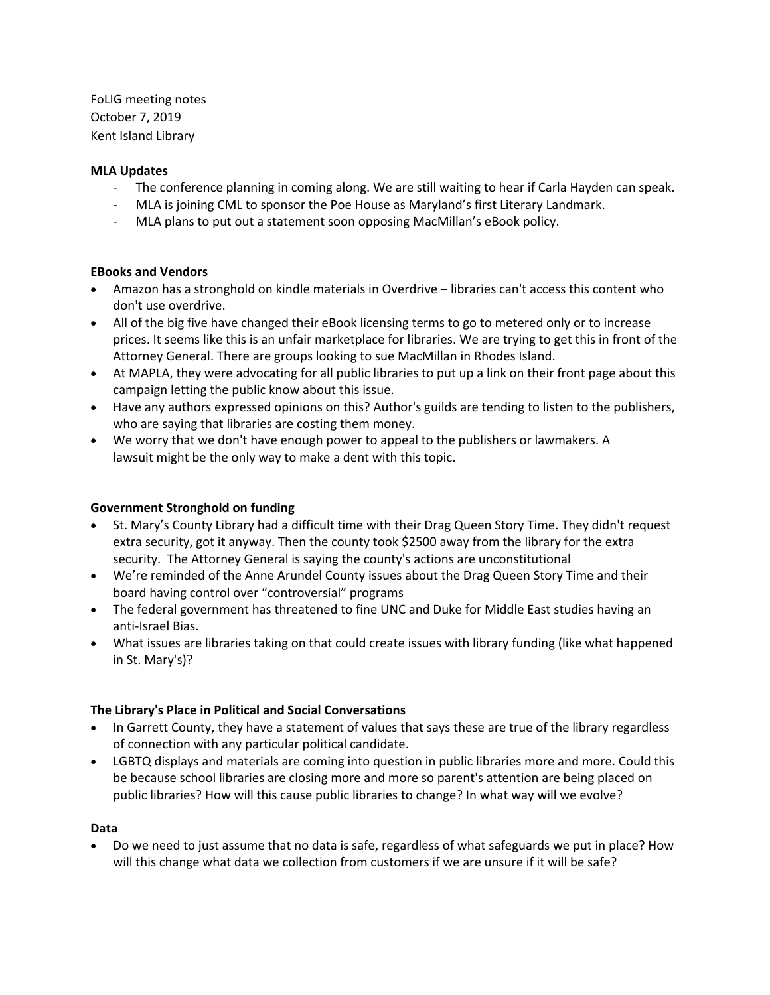FoLIG meeting notes October 7, 2019 Kent Island Library

#### **MLA Updates**

- The conference planning in coming along. We are still waiting to hear if Carla Hayden can speak.
- MLA is joining CML to sponsor the Poe House as Maryland's first Literary Landmark.
- MLA plans to put out a statement soon opposing MacMillan's eBook policy.

#### **EBooks and Vendors**

- Amazon has a stronghold on kindle materials in Overdrive libraries can't access this content who don't use overdrive.
- All of the big five have changed their eBook licensing terms to go to metered only or to increase prices. It seems like this is an unfair marketplace for libraries. We are trying to get this in front of the Attorney General. There are groups looking to sue MacMillan in Rhodes Island.
- At MAPLA, they were advocating for all public libraries to put up a link on their front page about this campaign letting the public know about this issue.
- Have any authors expressed opinions on this? Author's guilds are tending to listen to the publishers, who are saying that libraries are costing them money.
- We worry that we don't have enough power to appeal to the publishers or lawmakers. A lawsuit might be the only way to make a dent with this topic.

## **Government Stronghold on funding**

- St. Mary's County Library had a difficult time with their Drag Queen Story Time. They didn't request extra security, got it anyway. Then the county took \$2500 away from the library for the extra security. The Attorney General is saying the county's actions are unconstitutional
- We're reminded of the Anne Arundel County issues about the Drag Queen Story Time and their board having control over "controversial" programs
- The federal government has threatened to fine UNC and Duke for Middle East studies having an anti-Israel Bias.
- What issues are libraries taking on that could create issues with library funding (like what happened in St. Mary's)?

## **The Library's Place in Political and Social Conversations**

- In Garrett County, they have a statement of values that says these are true of the library regardless of connection with any particular political candidate.
- LGBTQ displays and materials are coming into question in public libraries more and more. Could this be because school libraries are closing more and more so parent's attention are being placed on public libraries? How will this cause public libraries to change? In what way will we evolve?

#### **Data**

• Do we need to just assume that no data is safe, regardless of what safeguards we put in place? How will this change what data we collection from customers if we are unsure if it will be safe?